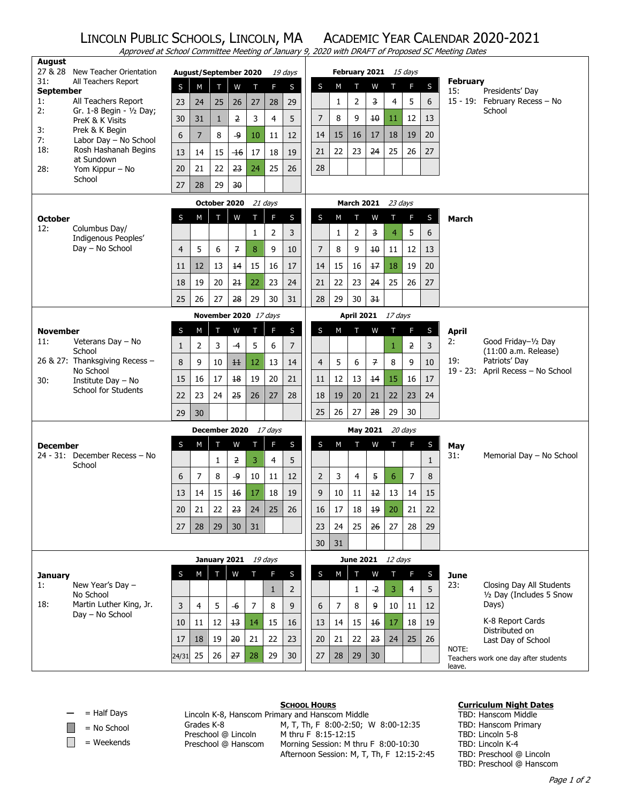## LINCOLN PUBLIC SCHOOLS, LINCOLN, MA ACADEMIC YEAR CALENDAR 2020-2021 Approved at School Committee Meeting of January 9, 2020 with DRAFT of Proposed SC Meeting Dates

| <b>August</b><br>27 & 28       | New Teacher Orientation                         |                | <b>August/September 2020</b> |                    |                       |                    |                           |                |                     |                   |                |                | February 2021 15 days |                |              |                   |                                               |
|--------------------------------|-------------------------------------------------|----------------|------------------------------|--------------------|-----------------------|--------------------|---------------------------|----------------|---------------------|-------------------|----------------|----------------|-----------------------|----------------|--------------|-------------------|-----------------------------------------------|
| 31:                            | All Teachers Report                             |                |                              |                    |                       |                    | F                         | 19 days        | S                   | M                 | т              | W              | T                     | F.             | S            | <b>February</b>   |                                               |
| <b>September</b>               |                                                 | S              | M                            | Т                  | W                     | Т                  |                           | S              |                     |                   |                |                |                       |                |              | 15:               | Presidents' Day                               |
| 1:<br>2:                       | All Teachers Report<br>Gr. 1-8 Begin - 1/2 Day; | 23<br>30       | 24<br>31                     | 25<br>$\mathbf{1}$ | 26<br>$\overline{2}$  | 27<br>3            | 28<br>4                   | 29<br>5        | $\overline{7}$      | $\mathbf{1}$<br>8 | 2<br>9         | 3<br>10        | 4<br>11               | 5<br>12        | 6<br>13      |                   | 15 - 19: February Recess - No<br>School       |
| 3:                             | PreK & K Visits<br>Prek & K Begin               | 6              | $\overline{7}$               | 8                  | و۔                    | 10                 | 11                        | 12             | 14                  | 15                | 16             | 17             | 18                    | 19             | 20           |                   |                                               |
| 7:<br>18:                      | Labor Day - No School<br>Rosh Hashanah Begins   | 13             | 14                           | 15                 | $-16$                 | 17                 | 18                        | 19             | 21                  | 22                | 23             | 24             | 25                    | 26             | 27           |                   |                                               |
| 28:                            | at Sundown<br>Yom Kippur - No                   | 20             | 21                           | 22                 | 23                    | 24                 | 25                        | 26             | 28                  |                   |                |                |                       |                |              |                   |                                               |
|                                | School                                          | 27             | 28                           | 29                 | 30                    |                    |                           |                |                     |                   |                |                |                       |                |              |                   |                                               |
| October 2020<br>21 days        |                                                 |                |                              |                    |                       | March 2021 23 days |                           |                |                     |                   |                |                |                       |                |              |                   |                                               |
| <b>October</b>                 |                                                 | S              | M                            | T                  | W                     | т                  | F                         | S              | S                   | M                 | т              | W              | т                     | F              | S            | <b>March</b>      |                                               |
| 12:                            | Columbus Day/                                   |                |                              |                    |                       | $\mathbf{1}$       | $\overline{2}$            | 3              |                     | $\mathbf{1}$      | $\overline{2}$ | 3              | $\overline{4}$        | 5              | 6            |                   |                                               |
|                                | Indigenous Peoples'<br>Day - No School          | $\overline{4}$ | 5                            | 6                  | 7                     | 8                  | 9                         | 10             | $\overline{7}$      | 8                 | 9              | 10             | 11                    | 12             | 13           |                   |                                               |
|                                |                                                 | 11             | 12                           | 13                 | 14                    | 15                 | 16                        | 17             | 14                  | 15                | 16             | $+7$           | 18                    | 19             | 20           |                   |                                               |
|                                |                                                 | 18             | 19                           | 20                 | 21                    | 22                 | 23                        | 24             | 21                  | 22                | 23             | 24             | 25                    | 26             | 27           |                   |                                               |
|                                |                                                 | 25             | 26                           | 27                 | 28                    | 29                 | 30                        | 31             | 28                  | 29                | 30             | $3+$           |                       |                |              |                   |                                               |
| November 2020 17 days          |                                                 |                |                              |                    |                       |                    | <b>April 2021</b> 17 days |                |                     |                   |                |                |                       |                |              |                   |                                               |
| <b>November</b>                |                                                 | S              | M                            | T                  | W                     | T                  | F                         | S              | S                   | M                 | T              | W              | T                     | F              | $\mathsf{S}$ | <b>April</b>      |                                               |
| 11:                            | Veterans Day - No<br>School                     | $\mathbf{1}$   | 2                            | 3                  | $\overline{4}$        | 5                  | 6                         | 7              |                     |                   |                |                | 1                     | $\overline{2}$ | 3            | 2:                | Good Friday-1/2 Day<br>$(11:00 a.m.$ Release) |
|                                | 26 & 27: Thanksgiving Recess -<br>No School     | 8              | 9                            | 10                 | H                     | 12                 | 13                        | 14             | $\overline{4}$      | 5                 | 6              | $\overline{7}$ | 8                     | 9              | 10           | 19:<br>$19 - 23:$ | Patriots' Day<br>April Recess - No School     |
| 30:                            | Institute Day - No                              | 15             | 16                           | 17                 | $\overline{18}$       | 19                 | 20                        | 21             | 11                  | 12                | 13             | 14             | 15                    | 16             | 17           |                   |                                               |
|                                | <b>School for Students</b>                      | 22             | 23                           | 24                 | 25                    | 26                 | 27                        | 28             | 18                  | 19                | 20             | 21             | 22                    | 23             | 24           |                   |                                               |
|                                |                                                 | 29             | 30                           |                    |                       |                    |                           |                | 25                  | 26                | 27             | 28             | 29                    | 30             |              |                   |                                               |
|                                |                                                 |                |                              |                    | December 2020 17 days |                    |                           |                | May 2021<br>20 days |                   |                |                |                       |                |              |                   |                                               |
| <b>December</b>                |                                                 | S              | M                            | Т                  | W                     | T                  | F                         | S              | S                   | M                 | T              | W              | T                     | F.             | $\sf S$      | May               |                                               |
|                                | 24 - 31: December Recess - No<br>School         |                |                              | 1                  | 2                     | 3                  | 4                         | 5              |                     |                   |                |                |                       |                | $\mathbf{1}$ | 31:               | Memorial Day - No School                      |
|                                |                                                 | 6              | 7                            | 8                  | ۅ                     | 10                 | 11                        | 12             | $\overline{2}$      | 3                 | 4              | 5              | 6                     | 7              | 8            |                   |                                               |
|                                |                                                 | 13             | 14                           | 15                 | 16                    | 17                 | 18                        | 19             | 9                   | 10                | 11             | 12             | 13                    | 14             | 15           |                   |                                               |
|                                |                                                 | 20             | 21                           | 22                 | 23                    | 24                 | 25                        | 26             | 16                  | 17                | 18             | $19\,$         | 20                    | 21             | 22           |                   |                                               |
|                                |                                                 | 27             | 28                           | 29                 | 30                    | 31                 |                           |                | 23                  | 24                | 25             | 26             | 27                    | 28             | 29           |                   |                                               |
|                                |                                                 |                |                              |                    |                       |                    |                           |                | 30                  | 31                |                |                |                       |                |              |                   |                                               |
| January 2021<br><i>19 days</i> |                                                 |                |                              |                    |                       | June 2021 12 days  |                           |                |                     |                   |                |                |                       |                |              |                   |                                               |
| January<br>1:                  | New Year's Day -                                | S              | M                            | $\mathbf{T}$       | W                     | T                  | F                         | S              | S                   | M                 | T              | W              | T                     | F              | S            | June<br>23:       | Closing Day All Students                      |
|                                | No School                                       |                |                              |                    |                       |                    | $\mathbf{1}$              | $\overline{2}$ |                     |                   | $\mathbf{1}$   | $\overline{2}$ | 3                     | $\overline{4}$ | 5            |                   | 1/2 Day (Includes 5 Snow                      |
| 18:                            | Martin Luther King, Jr.<br>Day - No School      | 3              | 4                            | 5                  | $-6$                  | 7                  | 8                         | 9              | 6                   | 7                 | 8              | 9              | 10                    | 11             | 12           |                   | Days)                                         |
|                                |                                                 | 10             | 11                           | 12                 | 13                    | 14                 | 15                        | 16             | 13                  | 14                | 15             | 16             | 17                    | 18             | 19           |                   | K-8 Report Cards<br>Distributed on            |
|                                |                                                 | 17             | 18                           | 19                 | 20                    | 21                 | 22                        | 23             | 20                  | 21                | 22             | 23             | 24                    | 25             | 26           | NOTE:             | Last Day of School                            |
|                                |                                                 | 24/31          | 25                           | 26                 | 27                    | 28                 | 29                        | 30             | 27                  | 28                | 29             | 30             |                       |                |              | leave.            | Teachers work one day after students          |

**—** = Half Days

= No School

 $\Box$  = Weekends

Preschool @ Lincoln M thru F 8:15-12:15

**SCHOOL HOURS** Lincoln K-8, Hanscom Primary and Hanscom Middle Grades K-8 M, T, Th, F 8:00-2:50; W 8:00-12:35 Preschool @ Hanscom Morning Session: M thru F 8:00-10:30 Afternoon Session: M, T, Th, F 12:15-2:45

## **Curriculum Night Dates**

TBD: Hanscom Middle TBD: Hanscom Primary TBD: Lincoln 5-8 TBD: Lincoln K-4 TBD: Preschool @ Lincoln TBD: Preschool @ Hanscom